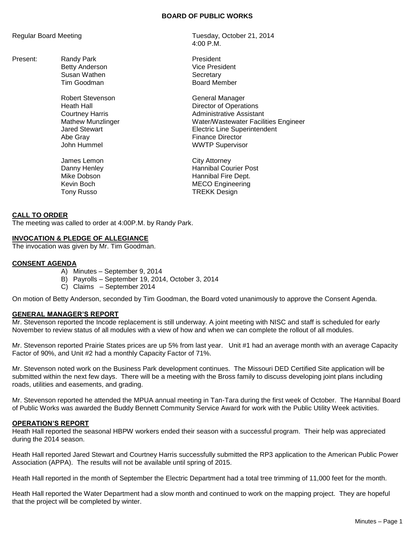#### **BOARD OF PUBLIC WORKS**

Present: Randy Park **President** Susan Wathen **Susan Wathen Secretary**<br>Tim Goodman Secretary Secretary

> Robert Stevenson General Manager John Hummel WWTP Supervisor

James Lemon **City Attorney** 

Regular Board Meeting Tuesday, October 21, 2014 4:00 P.M.

> Betty Anderson **Vice President Board Member**

Heath Hall **Hall Courtney Harris**<br>
Courtney Harris **Courtney Harris** Administrative Assistant Mathew Munzlinger Water/Wastewater Facilities Engineer Jared Stewart **Electric Line Superintendent**<br>
Abe Grav **Electric Line Superintendent** Finance Director

Danny Henley Namibal Courier Post<br>Mike Dobson Nike Hannibal Fire Dept. Hannibal Fire Dept. Kevin Boch **MECO** Engineering Tony Russo **TREKK** Design

#### **CALL TO ORDER**

The meeting was called to order at 4:00P.M. by Randy Park.

#### **INVOCATION & PLEDGE OF ALLEGIANCE**

The invocation was given by Mr. Tim Goodman.

# **CONSENT AGENDA**

- A) Minutes September 9, 2014
- B) Payrolls September 19, 2014, October 3, 2014
- C) Claims September 2014

On motion of Betty Anderson, seconded by Tim Goodman, the Board voted unanimously to approve the Consent Agenda.

#### **GENERAL MANAGER'S REPORT**

Mr. Stevenson reported the Incode replacement is still underway. A joint meeting with NISC and staff is scheduled for early November to review status of all modules with a view of how and when we can complete the rollout of all modules.

Mr. Stevenson reported Prairie States prices are up 5% from last year. Unit #1 had an average month with an average Capacity Factor of 90%, and Unit #2 had a monthly Capacity Factor of 71%.

Mr. Stevenson noted work on the Business Park development continues. The Missouri DED Certified Site application will be submitted within the next few days. There will be a meeting with the Bross family to discuss developing joint plans including roads, utilities and easements, and grading.

Mr. Stevenson reported he attended the MPUA annual meeting in Tan-Tara during the first week of October. The Hannibal Board of Public Works was awarded the Buddy Bennett Community Service Award for work with the Public Utility Week activities.

#### **OPERATION'S REPORT**

Heath Hall reported the seasonal HBPW workers ended their season with a successful program. Their help was appreciated during the 2014 season.

Heath Hall reported Jared Stewart and Courtney Harris successfully submitted the RP3 application to the American Public Power Association (APPA). The results will not be available until spring of 2015.

Heath Hall reported in the month of September the Electric Department had a total tree trimming of 11,000 feet for the month.

Heath Hall reported the Water Department had a slow month and continued to work on the mapping project. They are hopeful that the project will be completed by winter.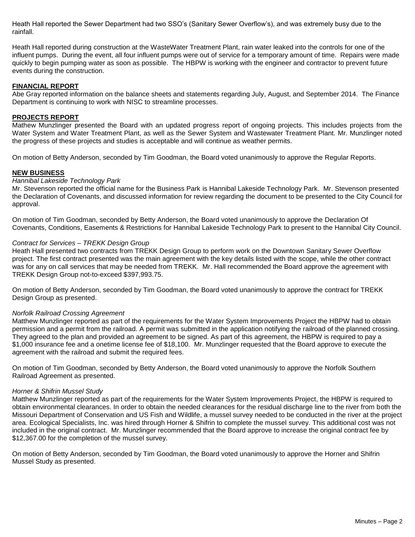Heath Hall reported the Sewer Department had two SSO's (Sanitary Sewer Overflow's), and was extremely busy due to the rainfall.

Heath Hall reported during construction at the WasteWater Treatment Plant, rain water leaked into the controls for one of the influent pumps. During the event, all four influent pumps were out of service for a temporary amount of time. Repairs were made quickly to begin pumping water as soon as possible. The HBPW is working with the engineer and contractor to prevent future events during the construction.

# **FINANCIAL REPORT**

Abe Gray reported information on the balance sheets and statements regarding July, August, and September 2014. The Finance Department is continuing to work with NISC to streamline processes.

# **PROJECTS REPORT**

Mathew Munzlinger presented the Board with an updated progress report of ongoing projects. This includes projects from the Water System and Water Treatment Plant, as well as the Sewer System and Wastewater Treatment Plant. Mr. Munzlinger noted the progress of these projects and studies is acceptable and will continue as weather permits.

On motion of Betty Anderson, seconded by Tim Goodman, the Board voted unanimously to approve the Regular Reports.

# **NEW BUSINESS**

#### *Hannibal Lakeside Technology Park*

Mr. Stevenson reported the official name for the Business Park is Hannibal Lakeside Technology Park. Mr. Stevenson presented the Declaration of Covenants, and discussed information for review regarding the document to be presented to the City Council for approval.

On motion of Tim Goodman, seconded by Betty Anderson, the Board voted unanimously to approve the Declaration Of Covenants, Conditions, Easements & Restrictions for Hannibal Lakeside Technology Park to present to the Hannibal City Council.

#### *Contract for Services – TREKK Design Group*

Heath Hall presented two contracts from TREKK Design Group to perform work on the Downtown Sanitary Sewer Overflow project. The first contract presented was the main agreement with the key details listed with the scope, while the other contract was for any on call services that may be needed from TREKK. Mr. Hall recommended the Board approve the agreement with TREKK Design Group not-to-exceed \$397,993.75.

On motion of Betty Anderson, seconded by Tim Goodman, the Board voted unanimously to approve the contract for TREKK Design Group as presented.

## *Norfolk Railroad Crossing Agreement*

Matthew Munzlinger reported as part of the requirements for the Water System Improvements Project the HBPW had to obtain permission and a permit from the railroad. A permit was submitted in the application notifying the railroad of the planned crossing. They agreed to the plan and provided an agreement to be signed. As part of this agreement, the HBPW is required to pay a \$1,000 insurance fee and a onetime license fee of \$18,100. Mr. Munzlinger requested that the Board approve to execute the agreement with the railroad and submit the required fees.

On motion of Tim Goodman, seconded by Betty Anderson, the Board voted unanimously to approve the Norfolk Southern Railroad Agreement as presented.

## *Horner & Shifrin Mussel Study*

Matthew Munzlinger reported as part of the requirements for the Water System Improvements Project, the HBPW is required to obtain environmental clearances. In order to obtain the needed clearances for the residual discharge line to the river from both the Missouri Department of Conservation and US Fish and Wildlife, a mussel survey needed to be conducted in the river at the project area. Ecological Specialists, Inc. was hired through Horner & Shifrin to complete the mussel survey. This additional cost was not included in the original contract. Mr. Munzlinger recommended that the Board approve to increase the original contract fee by \$12,367.00 for the completion of the mussel survey.

On motion of Betty Anderson, seconded by Tim Goodman, the Board voted unanimously to approve the Horner and Shifrin Mussel Study as presented.